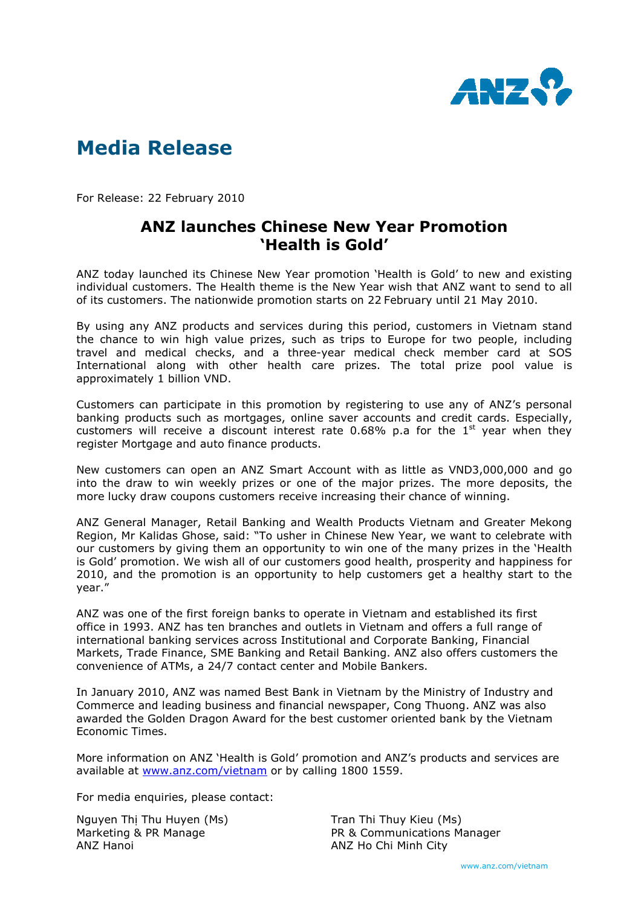

## Media Release

For Release: 22 February 2010

## ANZ launches Chinese New Year Promotion 'Health is Gold'

ANZ today launched its Chinese New Year promotion 'Health is Gold' to new and existing individual customers. The Health theme is the New Year wish that ANZ want to send to all of its customers. The nationwide promotion starts on 22 February until 21 May 2010.

By using any ANZ products and services during this period, customers in Vietnam stand the chance to win high value prizes, such as trips to Europe for two people, including travel and medical checks, and a three-year medical check member card at SOS International along with other health care prizes. The total prize pool value is approximately 1 billion VND.

Customers can participate in this promotion by registering to use any of ANZ's personal banking products such as mortgages, online saver accounts and credit cards. Especially, customers will receive a discount interest rate  $0.68\%$  p.a for the  $1<sup>st</sup>$  year when they register Mortgage and auto finance products.

New customers can open an ANZ Smart Account with as little as VND3,000,000 and go into the draw to win weekly prizes or one of the major prizes. The more deposits, the more lucky draw coupons customers receive increasing their chance of winning.

ANZ General Manager, Retail Banking and Wealth Products Vietnam and Greater Mekong Region, Mr Kalidas Ghose, said: "To usher in Chinese New Year, we want to celebrate with our customers by giving them an opportunity to win one of the many prizes in the 'Health is Gold' promotion. We wish all of our customers good health, prosperity and happiness for 2010, and the promotion is an opportunity to help customers get a healthy start to the year."

ANZ was one of the first foreign banks to operate in Vietnam and established its first office in 1993. ANZ has ten branches and outlets in Vietnam and offers a full range of international banking services across Institutional and Corporate Banking, Financial Markets, Trade Finance, SME Banking and Retail Banking. ANZ also offers customers the convenience of ATMs, a 24/7 contact center and Mobile Bankers.

In January 2010, ANZ was named Best Bank in Vietnam by the Ministry of Industry and Commerce and leading business and financial newspaper, Cong Thuong. ANZ was also awarded the Golden Dragon Award for the best customer oriented bank by the Vietnam Economic Times.

More information on ANZ 'Health is Gold' promotion and ANZ's products and services are available at www.anz.com/vietnam or by calling 1800 1559.

For media enquiries, please contact:

Nguyen Thị Thu Huyen (Ms) Marketing & PR Manage ANZ Hanoi

Tran Thi Thuy Kieu (Ms) PR & Communications Manager ANZ Ho Chi Minh City